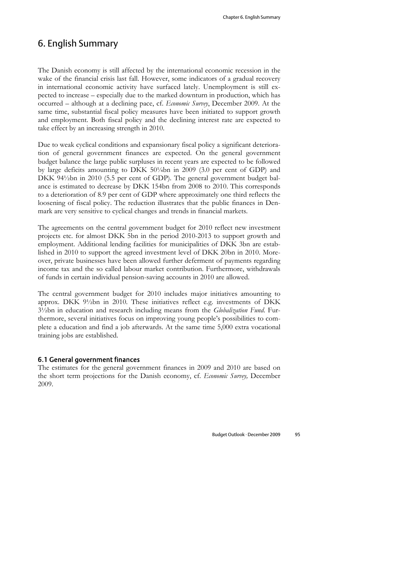# 6. English Summary

The Danish economy is still affected by the international economic recession in the wake of the financial crisis last fall. However, some indicators of a gradual recovery in international economic activity have surfaced lately. Unemployment is still expected to increase – especially due to the marked downturn in production, which has occurred – although at a declining pace, cf. *Economic Survey*, December 2009. At the same time, substantial fiscal policy measures have been initiated to support growth and employment. Both fiscal policy and the declining interest rate are expected to take effect by an increasing strength in 2010.

Due to weak cyclical conditions and expansionary fiscal policy a significant deterioration of general government finances are expected. On the general government budget balance the large public surpluses in recent years are expected to be followed by large deficits amounting to DKK 50¼bn in 2009 (3.0 per cent of GDP) and DKK 94½bn in 2010 (5.5 per cent of GDP). The general government budget balance is estimated to decrease by DKK 154bn from 2008 to 2010. This corresponds to a deterioration of 8.9 per cent of GDP where approximately one third reflects the loosening of fiscal policy. The reduction illustrates that the public finances in Denmark are very sensitive to cyclical changes and trends in financial markets.

The agreements on the central government budget for 2010 reflect new investment projects etc. for almost DKK 5bn in the period 2010-2013 to support growth and employment. Additional lending facilities for municipalities of DKK 3bn are established in 2010 to support the agreed investment level of DKK 20bn in 2010. Moreover, private businesses have been allowed further deferment of payments regarding income tax and the so called labour market contribution. Furthermore, withdrawals of funds in certain individual pension-saving accounts in 2010 are allowed.

The central government budget for 2010 includes major initiatives amounting to approx. DKK 9½bn in 2010. These initiatives reflect e.g. investments of DKK 3½bn in education and research including means from the *Globalization Fund*. Furthermore, several initiatives focus on improving young people's possibilities to complete a education and find a job afterwards. At the same time 5,000 extra vocational training jobs are established.

#### 6.1 General government finances

The estimates for the general government finances in 2009 and 2010 are based on the short term projections for the Danish economy, cf. *Economic Survey,* December 2009.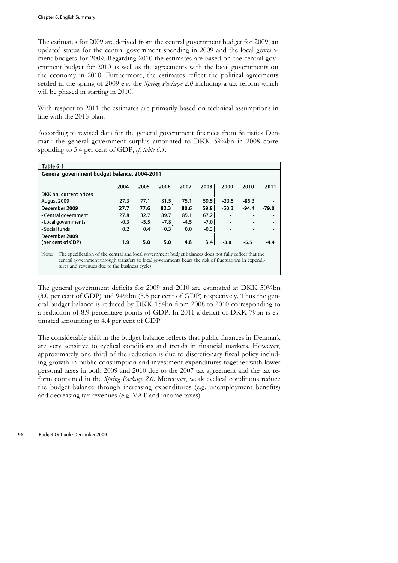The estimates for 2009 are derived from the central government budget for 2009, an updated status for the central government spending in 2009 and the local government budgets for 2009. Regarding 2010 the estimates are based on the central government budget for 2010 as well as the agreements with the local governments on the economy in 2010. Furthermore, the estimates reflect the political agreements settled in the spring of 2009 e.g. the *Spring Package 2.0* including a tax reform which will be phased in starting in 2010.

With respect to 2011 the estimates are primarily based on technical assumptions in line with the 2015-plan.

According to revised data for the general government finances from Statistics Denmark the general government surplus amounted to DKK 593/4bn in 2008 corresponding to 3.4 per cent of GDP, *cf. table 6.1*.

| General government budget balance, 2004-2011 |        |        |        |        |         |         |                                                                                                                                                                                                               |  |  |  |
|----------------------------------------------|--------|--------|--------|--------|---------|---------|---------------------------------------------------------------------------------------------------------------------------------------------------------------------------------------------------------------|--|--|--|
| 2004                                         | 2005   | 2006   | 2007   | 2008   | 2009    | 2010    | 2011                                                                                                                                                                                                          |  |  |  |
|                                              |        |        |        |        |         |         |                                                                                                                                                                                                               |  |  |  |
| 27.3                                         | 77.1   | 81.5   | 75.1   | 59.5   | $-33.5$ | $-86.3$ |                                                                                                                                                                                                               |  |  |  |
| 27.7                                         | 77.6   | 82.3   | 80.6   | 59.8   | $-50.3$ | $-94.4$ | $-79.0$                                                                                                                                                                                                       |  |  |  |
| 27.8                                         | 82.7   | 89.7   | 85.1   | 67.2   |         |         |                                                                                                                                                                                                               |  |  |  |
| $-0.3$                                       | $-5.5$ | $-7.8$ | $-4.5$ | $-7.0$ |         |         |                                                                                                                                                                                                               |  |  |  |
| 0.2                                          | 0.4    | 0.3    | 0.0    | $-0.3$ |         |         |                                                                                                                                                                                                               |  |  |  |
|                                              |        |        |        |        |         |         |                                                                                                                                                                                                               |  |  |  |
| 1.9                                          | 5.0    | 5.0    | 4.8    | 3.4    | $-3.0$  | $-5.5$  | -4.4                                                                                                                                                                                                          |  |  |  |
|                                              |        |        |        |        |         |         |                                                                                                                                                                                                               |  |  |  |
|                                              |        |        |        |        |         |         | The specification of the central and local government budget balances does not fully reflect that the<br>central government through transfers to local governments bears the risk of fluctuations in expendi- |  |  |  |

The general government deficits for 2009 and 2010 are estimated at DKK 501/4bn (3.0 per cent of GDP) and 94½bn (5.5 per cent of GDP) respectively. Thus the general budget balance is reduced by DKK 154bn from 2008 to 2010 corresponding to a reduction of 8.9 percentage points of GDP. In 2011 a deficit of DKK 79bn is estimated amounting to 4.4 per cent of GDP.

tures and revenues due to the business cycles.

The considerable shift in the budget balance reflects that public finances in Denmark are very sensitive to cyclical conditions and trends in financial markets. However, approximately one third of the reduction is due to discretionary fiscal policy including growth in public consumption and investment expenditures together with lower personal taxes in both 2009 and 2010 due to the 2007 tax agreement and the tax reform contained in the *Spring Package 2.0*. Moreover, weak cyclical conditions reduce the budget balance through increasing expenditures (e.g. unemployment benefits) and decreasing tax revenues (e.g. VAT and income taxes).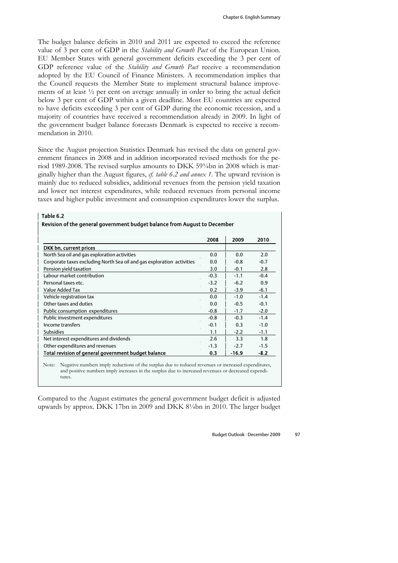The budget balance deficits in 2010 and 2011 are expected to exceed the reference value of 3 per cent of GDP in the *Stability and Growth Pact* of the European Union. EU Member States with general government deficits exceeding the 3 per cent of GDP reference value of the *Stability and Growth Pact* receive a recommendation adopted by the EU Council of Finance Ministers. A recommendation implies that the Council requests the Member State to implement structural balance improvements of at least ½ per cent on average annually in order to bring the actual deficit below 3 per cent of GDP within a given deadline. Most EU countries are expected to have deficits exceeding 3 per cent of GDP during the economic recession, and a majority of countries have received a recommendation already in 2009. In light of the government budget balance forecasts Denmark is expected to receive a recommendation in 2010.

Since the August projection Statistics Denmark has revised the data on general government finances in 2008 and in addition incorporated revised methods for the period 1989-2008. The revised surplus amounts to DKK 59¾bn in 2008 which is marginally higher than the August figures, *cf. table 6.2 and annex 1*. The upward revision is mainly due to reduced subsidies, additional revenues from the pension yield taxation and lower net interest expenditures, while reduced revenues from personal income taxes and higher public investment and consumption expenditures lower the surplus.

| Revision of the general government budget balance from August to December |        |         |        |  |  |  |  |  |  |
|---------------------------------------------------------------------------|--------|---------|--------|--|--|--|--|--|--|
|                                                                           | 2008   | 2009    | 2010   |  |  |  |  |  |  |
| DKK bn, current prices                                                    |        |         |        |  |  |  |  |  |  |
| North Sea oil and gas exploration activities                              | 0.0    | 0.0     | 2.0    |  |  |  |  |  |  |
| Corporate taxes excluding North Sea oil and gas exploration activities    | 0.0    | $-0.8$  | $-0.7$ |  |  |  |  |  |  |
| Pension yield taxation                                                    | 3.0    | $-0.1$  | 2.8    |  |  |  |  |  |  |
| Labour market contribution                                                | $-0.3$ | $-1.1$  | $-0.4$ |  |  |  |  |  |  |
| Personal taxes etc.                                                       | $-3.2$ | $-6.2$  | 0.9    |  |  |  |  |  |  |
| Value Added Tax                                                           | 0.2    | $-3.9$  | $-6.1$ |  |  |  |  |  |  |
| Vehicle registration tax                                                  | 0.0    | $-1.0$  | $-1.4$ |  |  |  |  |  |  |
| Other taxes and duties                                                    | 0.0    | $-0.5$  | $-0.1$ |  |  |  |  |  |  |
| Public consumption expenditures                                           | $-0.8$ | $-1.7$  | $-2.0$ |  |  |  |  |  |  |
| Public investment expenditures                                            | $-0.8$ | $-0.3$  | $-1.4$ |  |  |  |  |  |  |
| Income transfers                                                          | $-0.1$ | 0.3     | $-1.0$ |  |  |  |  |  |  |
| <b>Subsidies</b>                                                          | 1.1    | $-2.2$  | $-1.1$ |  |  |  |  |  |  |
| Net interest expenditures and dividends                                   | 2.6    | 3.3     | 1.8    |  |  |  |  |  |  |
| Other expenditures and revenues                                           | $-1.3$ | $-2.7$  | $-1.5$ |  |  |  |  |  |  |
| Total revision of general government budget balance                       | 0.3    | $-16.9$ | $-8.2$ |  |  |  |  |  |  |

and positive numbers imply increases in the surplus due to increased revenues or decreased expenditures.

Compared to the August estimates the general government budget deficit is adjusted upwards by approx. DKK 17bn in 2009 and DKK 8¼bn in 2010. The larger budget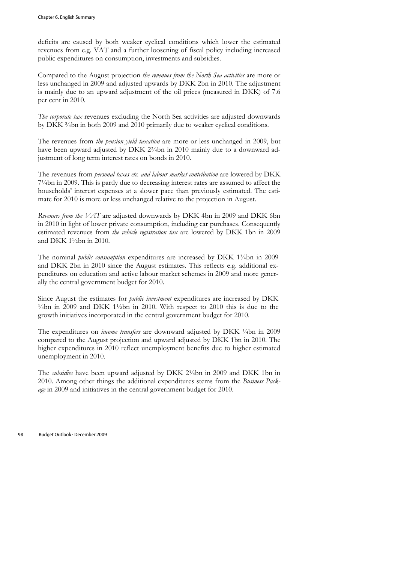deficits are caused by both weaker cyclical conditions which lower the estimated revenues from e.g. VAT and a further loosening of fiscal policy including increased public expenditures on consumption, investments and subsidies.

Compared to the August projection *the revenues from the North Sea activities* are more or less unchanged in 2009 and adjusted upwards by DKK 2bn in 2010. The adjustment is mainly due to an upward adjustment of the oil prices (measured in DKK) of 7.6 per cent in 2010.

*The corporate tax* revenues excluding the North Sea activities are adjusted downwards by DKK <sup>3</sup>/<sub>4</sub>bn in both 2009 and 2010 primarily due to weaker cyclical conditions.

The revenues from *the pension yield taxation* are more or less unchanged in 2009, but have been upward adjusted by DKK 2<sup>3</sup>/<sub>4</sub>bn in 2010 mainly due to a downward adjustment of long term interest rates on bonds in 2010.

The revenues from *personal taxes etc. and labour market contribution* are lowered by DKK 7¼bn in 2009. This is partly due to decreasing interest rates are assumed to affect the households' interest expenses at a slower pace than previously estimated. The estimate for 2010 is more or less unchanged relative to the projection in August.

*Revenues from the VAT* are adjusted downwards by DKK 4bn in 2009 and DKK 6bn in 2010 in light of lower private consumption, including car purchases. Consequently estimated revenues from *the vehicle registration tax* are lowered by DKK 1bn in 2009 and DKK 1½bn in 2010.

The nominal *public consumption* expenditures are increased by DKK 1<sup>3</sup>/4bn in 2009 and DKK 2bn in 2010 since the August estimates. This reflects e.g. additional expenditures on education and active labour market schemes in 2009 and more generally the central government budget for 2010.

Since August the estimates for *public investment* expenditures are increased by DKK  $\frac{1}{4}$  bn in 2009 and DKK 1 $\frac{1}{2}$ bn in 2010. With respect to 2010 this is due to the growth initiatives incorporated in the central government budget for 2010.

The expenditures on *income transfers* are downward adjusted by DKK ¼bn in 2009 compared to the August projection and upward adjusted by DKK 1bn in 2010. The higher expenditures in 2010 reflect unemployment benefits due to higher estimated unemployment in 2010.

The *subsidies* have been upward adjusted by DKK 2¼bn in 2009 and DKK 1bn in 2010. Among other things the additional expenditures stems from the *Business Package* in 2009 and initiatives in the central government budget for 2010.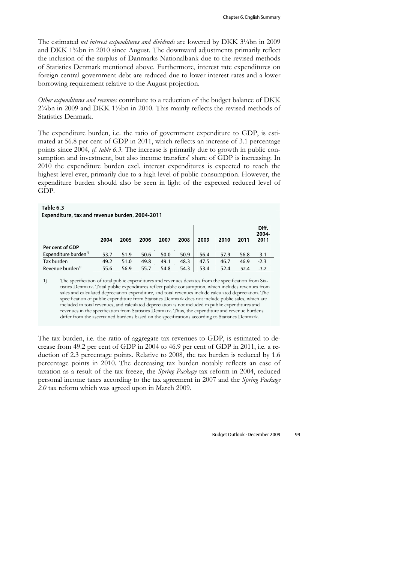The estimated *net interest expenditures and dividends* are lowered by DKK 3¼bn in 2009 and DKK 1¾bn in 2010 since August. The downward adjustments primarily reflect the inclusion of the surplus of Danmarks Nationalbank due to the revised methods of Statistics Denmark mentioned above. Furthermore, interest rate expenditures on foreign central government debt are reduced due to lower interest rates and a lower borrowing requirement relative to the August projection.

*Other expenditures and revenues* contribute to a reduction of the budget balance of DKK 2¾bn in 2009 and DKK 1½bn in 2010. This mainly reflects the revised methods of Statistics Denmark.

The expenditure burden, i.e. the ratio of government expenditure to GDP, is estimated at 56.8 per cent of GDP in 2011, which reflects an increase of 3.1 percentage points since 2004, *cf. table 6.3*. The increase is primarily due to growth in public consumption and investment, but also income transfers' share of GDP is increasing. In 2010 the expenditure burden excl. interest expenditures is expected to reach the highest level ever, primarily due to a high level of public consumption. However, the expenditure burden should also be seen in light of the expected reduced level of GDP.

| Table 6.3                                                                                                                                                                                                                                                                                                                                                                                                                                                                                                                                                                                                                                      | Expenditure, tax and revenue burden, 2004-2011 |      |      |      |      |      |      |      |      |                        |
|------------------------------------------------------------------------------------------------------------------------------------------------------------------------------------------------------------------------------------------------------------------------------------------------------------------------------------------------------------------------------------------------------------------------------------------------------------------------------------------------------------------------------------------------------------------------------------------------------------------------------------------------|------------------------------------------------|------|------|------|------|------|------|------|------|------------------------|
|                                                                                                                                                                                                                                                                                                                                                                                                                                                                                                                                                                                                                                                |                                                | 2004 | 2005 | 2006 | 2007 | 2008 | 2009 | 2010 | 2011 | Diff.<br>2004-<br>2011 |
|                                                                                                                                                                                                                                                                                                                                                                                                                                                                                                                                                                                                                                                | Per cent of GDP                                |      |      |      |      |      |      |      |      |                        |
|                                                                                                                                                                                                                                                                                                                                                                                                                                                                                                                                                                                                                                                | Expenditure burden <sup>1)</sup>               | 53.7 | 51.9 | 50.6 | 50.0 | 50.9 | 56.4 | 57.9 | 56.8 | 3.1                    |
|                                                                                                                                                                                                                                                                                                                                                                                                                                                                                                                                                                                                                                                | Tax burden                                     | 49.2 | 51.0 | 49.8 | 49.1 | 48.3 | 47.5 | 46.7 | 46.9 | $-2.3$                 |
|                                                                                                                                                                                                                                                                                                                                                                                                                                                                                                                                                                                                                                                | Revenue burden <sup>1)</sup>                   | 55.6 | 56.9 | 55.7 | 54.8 | 54.3 | 53.4 | 52.4 | 52.4 | $-3.2$                 |
| 1)<br>The specification of total public expenditures and revenues deviates from the specification from Sta-<br>tistics Denmark. Total public expenditures reflect public consumption, which includes revenues from<br>sales and calculated depreciation expenditure, and total revenues include calculated depreciation. The<br>specification of public expenditure from Statistics Denmark does not include public sales, which are<br>included in total revenues, and calculated depreciation is not included in public expenditures and<br>revenues in the specification from Statistics Denmark. Thus, the expenditure and revenue burdens |                                                |      |      |      |      |      |      |      |      |                        |

The tax burden, i.e. the ratio of aggregate tax revenues to GDP, is estimated to decrease from 49.2 per cent of GDP in 2004 to 46.9 per cent of GDP in 2011, i.e. a reduction of 2.3 percentage points. Relative to 2008, the tax burden is reduced by 1.6 percentage points in 2010. The decreasing tax burden notably reflects an ease of taxation as a result of the tax freeze, the *Spring Package* tax reform in 2004, reduced personal income taxes according to the tax agreement in 2007 and the *Spring Package 2.0* tax reform which was agreed upon in March 2009.

differ from the ascertained burdens based on the specifications according to Statistics Denmark.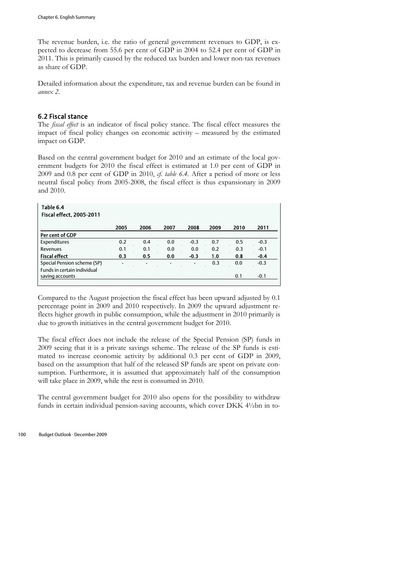The revenue burden, i.e. the ratio of general government revenues to GDP, is expected to decrease from 55.6 per cent of GDP in 2004 to 52.4 per cent of GDP in 2011. This is primarily caused by the reduced tax burden and lower non-tax revenues as share of GDP.

Detailed information about the expenditure, tax and revenue burden can be found in *annex 2*.

## 6.2 Fiscal stance

The *fiscal effect* is an indicator of fiscal policy stance. The fiscal effect measures the impact of fiscal policy changes on economic activity – measured by the estimated impact on GDP.

Based on the central government budget for 2010 and an estimate of the local government budgets for 2010 the fiscal effect is estimated at 1.0 per cent of GDP in 2009 and 0.8 per cent of GDP in 2010, *cf. table 6.4*. After a period of more or less neutral fiscal policy from 2005-2008, the fiscal effect is thus expansionary in 2009 and 2010.

| Table 6.4                       |                              |                          |                          |                          |      |      |        |
|---------------------------------|------------------------------|--------------------------|--------------------------|--------------------------|------|------|--------|
| <b>Fiscal effect, 2005-2011</b> |                              |                          |                          |                          |      |      |        |
|                                 | 2005                         | 2006                     | 2007                     | 2008                     | 2009 | 2010 | 2011   |
| Per cent of GDP                 |                              |                          |                          |                          |      |      |        |
| Expenditures                    | 0.2                          | 0.4                      | 0.0                      | $-0.3$                   | 0.7  | 0.5  | $-0.3$ |
| Revenues                        | 0.1                          | 0.1                      | 0.0                      | 0.0                      | 0.2  | 0.3  | $-0.1$ |
| <b>Fiscal effect</b>            | 0.3                          | 0.5                      | 0.0                      | $-0.3$                   | 1.0  | 0.8  | $-0.4$ |
| Special Pension scheme (SP)     | $\qquad \qquad \blacksquare$ | $\overline{\phantom{0}}$ | $\overline{\phantom{a}}$ | $\overline{\phantom{a}}$ | 0.3  | 0.0  | $-0.3$ |
| Funds in certain individual     |                              |                          |                          |                          |      |      |        |
| saving accounts                 |                              |                          |                          |                          |      | 0.1  | $-0.1$ |
|                                 |                              |                          |                          |                          |      |      |        |

Compared to the August projection the fiscal effect has been upward adjusted by 0.1 percentage point in 2009 and 2010 respectively. In 2009 the upward adjustment reflects higher growth in public consumption, while the adjustment in 2010 primarily is due to growth initiatives in the central government budget for 2010.

The fiscal effect does not include the release of the Special Pension (SP) funds in 2009 seeing that it is a private savings scheme. The release of the SP funds is estimated to increase economic activity by additional 0.3 per cent of GDP in 2009, based on the assumption that half of the released SP funds are spent on private consumption. Furthermore, it is assumed that approximately half of the consumption will take place in 2009, while the rest is consumed in 2010.

The central government budget for 2010 also opens for the possibility to withdraw funds in certain individual pension-saving accounts, which cover DKK 4½bn in to-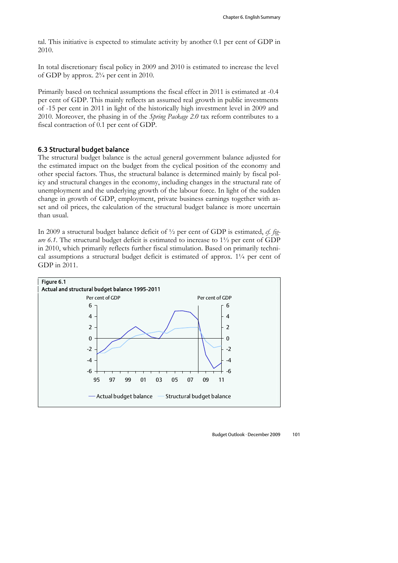tal. This initiative is expected to stimulate activity by another 0.1 per cent of GDP in 2010.

In total discretionary fiscal policy in 2009 and 2010 is estimated to increase the level of GDP by approx. 2¾ per cent in 2010.

Primarily based on technical assumptions the fiscal effect in 2011 is estimated at -0.4 per cent of GDP. This mainly reflects an assumed real growth in public investments of -15 per cent in 2011 in light of the historically high investment level in 2009 and 2010. Moreover, the phasing in of the *Spring Package 2.0* tax reform contributes to a fiscal contraction of 0.1 per cent of GDP.

#### 6.3 Structural budget balance

The structural budget balance is the actual general government balance adjusted for the estimated impact on the budget from the cyclical position of the economy and other special factors. Thus, the structural balance is determined mainly by fiscal policy and structural changes in the economy, including changes in the structural rate of unemployment and the underlying growth of the labour force. In light of the sudden change in growth of GDP, employment, private business earnings together with asset and oil prices, the calculation of the structural budget balance is more uncertain than usual.

In 2009 a structural budget balance deficit of ½ per cent of GDP is estimated, *cf. figure 6.1*. The structural budget deficit is estimated to increase to 1½ per cent of GDP in 2010, which primarily reflects further fiscal stimulation. Based on primarily technical assumptions a structural budget deficit is estimated of approx.  $1\frac{1}{4}$  per cent of GDP in 2011.

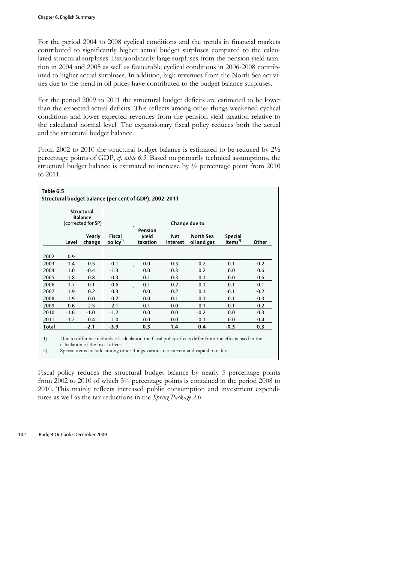For the period 2004 to 2008 cyclical conditions and the trends in financial markets contributed to significantly higher actual budget surpluses compared to the calculated structural surpluses. Extraordinarily large surpluses from the pension yield taxation in 2004 and 2005 as well as favourable cyclical conditions in 2006-2008 contributed to higher actual surpluses. In addition, high revenues from the North Sea activities due to the trend in oil prices have contributed to the budget balance surpluses.

For the period 2009 to 2011 the structural budget deficits are estimated to be lower than the expected actual deficits. This reflects among other things weakened cyclical conditions and lower expected revenues from the pension yield taxation relative to the calculated normal level. The expansionary fiscal policy reduces both the actual and the structural budget balance.

From 2002 to 2010 the structural budget balance is estimated to be reduced by 2½ percentage points of GDP, *cf. table 6.5*. Based on primarily technical assumptions, the structural budget balance is estimated to increase by ½ percentage point from 2010 to 2011.

| Structural budget balance (per cent of GDP), 2002-2011 |        |                                     |                                      |                   |                        |                          |                                       |        |  |  |  |
|--------------------------------------------------------|--------|-------------------------------------|--------------------------------------|-------------------|------------------------|--------------------------|---------------------------------------|--------|--|--|--|
|                                                        |        | <b>Structural</b><br><b>Balance</b> |                                      |                   |                        |                          |                                       |        |  |  |  |
|                                                        |        | (corrected for SP)                  |                                      | <b>Pension</b>    |                        | Change due to            |                                       |        |  |  |  |
|                                                        | Level  | Yearly<br>change                    | <b>Fiscal</b><br>policy <sup>1</sup> | yield<br>taxation | <b>Net</b><br>interest | North Sea<br>oil and gas | <b>Special</b><br>items <sup>2)</sup> | Other  |  |  |  |
|                                                        |        |                                     |                                      |                   |                        |                          |                                       |        |  |  |  |
| 2002                                                   | 0.9    |                                     |                                      |                   |                        |                          |                                       |        |  |  |  |
| 2003                                                   | 1.4    | 0.5                                 | 0.1                                  | 0.0               | 0.3                    | 0.2                      | 0.1                                   | $-0.2$ |  |  |  |
| 2004                                                   | 1.0    | $-0.4$                              | $-1.3$                               | 0.0               | 0.3                    | 0.2                      | 0.0                                   | 0.6    |  |  |  |
| 2005                                                   | 1.8    | 0.8                                 | $-0.3$                               | 0.1               | 0.3                    | 0.1                      | 0.0                                   | 0.6    |  |  |  |
| 2006                                                   | 1.7    | $-0.1$                              | $-0.6$                               | 0.1               | 0.2                    | 0.1                      | $-0.1$                                | 0.1    |  |  |  |
| 2007                                                   | 1.9    | 0.2                                 | 0.3                                  | 0.0               | 0.2                    | 0.1                      | $-0.1$                                | $-0.2$ |  |  |  |
| 2008                                                   | 1.9    | 0.0                                 | 0.2                                  | 0.0               | 0.1                    | 0.1                      | $-0.1$                                | $-0.3$ |  |  |  |
| 2009                                                   | $-0.6$ | $-2.5$                              | $-2.1$                               | 0.1               | 0.0                    | $-0.1$                   | $-0.1$                                | $-0.2$ |  |  |  |
| 2010                                                   | $-1.6$ | $-1.0$                              | $-1.2$                               | 0.0               | 0.0                    | $-0.2$                   | 0.0                                   | 0.3    |  |  |  |
| 2011                                                   | $-1.2$ | 0.4                                 | 1.0                                  | 0.0               | 0.0                    | $-0.1$                   | 0.0                                   | $-0.4$ |  |  |  |
| Total                                                  |        | $-2.1$                              | $-3.9$                               | 0.3               | 1.4                    | 0.4                      | $-0.3$                                | 0.3    |  |  |  |

2) Special items include among other things various net current and capital transfers.

Fiscal policy reduces the structural budget balance by nearly 5 percentage points from 2002 to 2010 of which 3¼ percentage points is contained in the period 2008 to 2010. This mainly reflects increased public consumption and investment expenditures as well as the tax reductions in the *Spring Package 2.0*.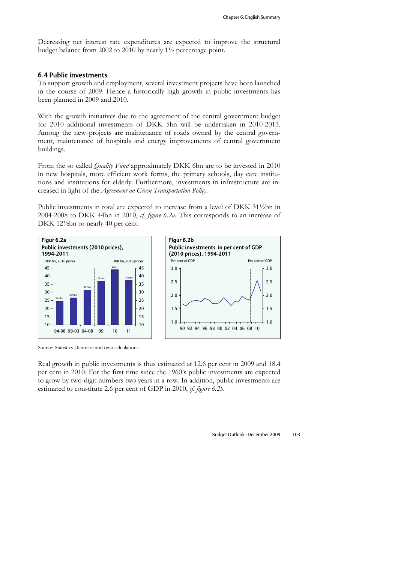Decreasing net interest rate expenditures are expected to improve the structural budget balance from 2002 to 2010 by nearly 1½ percentage point.

#### 6.4 Public investments

To support growth and employment, several investment projects have been launched in the course of 2009. Hence a historically high growth in public investments has been planned in 2009 and 2010.

With the growth initiatives due to the agreement of the central government budget for 2010 additional investments of DKK 5bn will be undertaken in 2010-2013. Among the new projects are maintenance of roads owned by the central government, maintenance of hospitals and energy improvements of central government buildings.

From the so called *Quality Fund* approximately DKK 6bn are to be invested in 2010 in new hospitals, more efficient work forms, the primary schools, day care institutions and institutions for elderly. Furthermore, investments in infrastructure are increased in light of the *Agreement on Green Transportation Policy*.

Public investments in total are expected to increase from a level of DKK 31½bn in 2004-2008 to DKK 44bn in 2010, *cf. figure 6.2a*. This corresponds to an increase of DKK 12½bn or nearly 40 per cent.





Source: Statistics Denmark and own calculations.

Real growth in public investments is thus estimated at 12.6 per cent in 2009 and 18.4 per cent in 2010. For the first time since the 1960's public investments are expected to grow by two-digit numbers two years in a row. In addition, public investments are estimated to constitute 2.6 per cent of GDP in 2010, *cf. figure 6.2b*.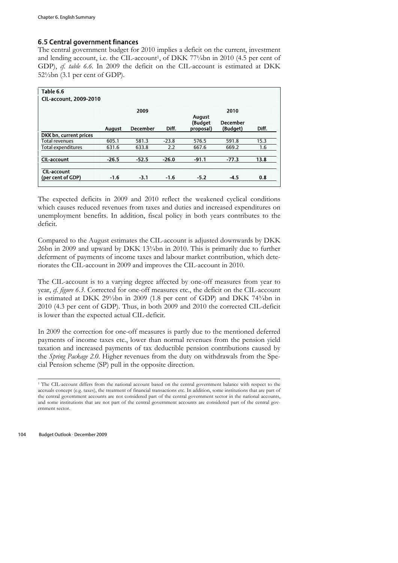## 6.5 Central government finances

The central government budget for 2010 implies a deficit on the current, investment and lending account, i.e. the CIL-account<sup>1</sup>, of DKK 77 $\frac{1}{4}$ bn in 2010 (4.5 per cent of GDP), *cf. table 6.6*. In 2009 the deficit on the CIL-account is estimated at DKK 52½bn (3.1 per cent of GDP).

| Table 6.6                     |               |                 |         |                                       |                             |        |
|-------------------------------|---------------|-----------------|---------|---------------------------------------|-----------------------------|--------|
| <b>CIL-account, 2009-2010</b> |               |                 |         |                                       |                             |        |
|                               |               | 2009            |         |                                       | 2010                        |        |
|                               | <b>August</b> | <b>December</b> | Diff.   | <b>August</b><br>(Budget<br>proposal) | <b>December</b><br>(Budget) | Diff.  |
| DKK bn, current prices        |               |                 |         |                                       |                             |        |
| <b>Total revenues</b>         | 605.1         | 581.3           | $-23.8$ | 576.5                                 | 591.8                       | 15.3   |
| Total expenditures            | 631.6         | 633.8           | 2.2     | 667.6                                 | 669.2                       | 1.6    |
| <b>CIL-account</b>            | $-26.5$       | $-52.5$         | $-26.0$ | $-91.1$                               | $-77.3$                     | 13.8   |
| <b>CIL-account</b>            |               |                 |         |                                       |                             | 0.8    |
| (per cent of GDP)             | $-1.6$        | $-3.1$          | $-1.6$  | $-5.2$                                |                             | $-4.5$ |

The expected deficits in 2009 and 2010 reflect the weakened cyclical conditions which causes reduced revenues from taxes and duties and increased expenditures on unemployment benefits. In addition, fiscal policy in both years contributes to the deficit.

Compared to the August estimates the CIL-account is adjusted downwards by DKK 26bn in 2009 and upward by DKK 13¾bn in 2010. This is primarily due to further deferment of payments of income taxes and labour market contribution, which deteriorates the CIL-account in 2009 and improves the CIL-account in 2010.

The CIL-account is to a varying degree affected by one-off measures from year to year, *cf. figure 6.3*. Corrected for one-off measures etc., the deficit on the CIL-account is estimated at DKK 29½bn in 2009 (1.8 per cent of GDP) and DKK 74¾bn in 2010 (4.3 per cent of GDP). Thus, in both 2009 and 2010 the corrected CIL-deficit is lower than the expected actual CIL-deficit.

In 2009 the correction for one-off measures is partly due to the mentioned deferred payments of income taxes etc., lower than normal revenues from the pension yield taxation and increased payments of tax deductible pension contributions caused by the *Spring Package 2.0*. Higher revenues from the duty on withdrawals from the Special Pension scheme (SP) pull in the opposite direction.

104 Budget Outlook · December 2009

 $\overline{a}$ 

<sup>1</sup> The CIL-account differs from the national account based on the central government balance with respect to the accruals concept (e.g. taxes), the treatment of financial transactions etc. In addition, some institutions that are part of the central government accounts are not considered part of the central government sector in the national accounts, and some institutions that are not part of the central government accounts are considered part of the central government sector.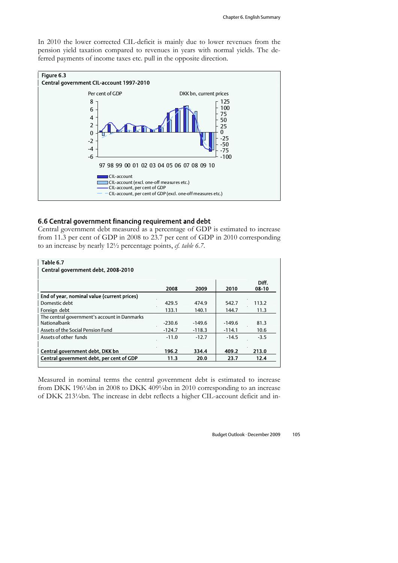In 2010 the lower corrected CIL-deficit is mainly due to lower revenues from the pension yield taxation compared to revenues in years with normal yields. The deferred payments of income taxes etc. pull in the opposite direction.



### 6.6 Central government financing requirement and debt

Central government debt measured as a percentage of GDP is estimated to increase from 11.3 per cent of GDP in 2008 to 23.7 per cent of GDP in 2010 corresponding to an increase by nearly 12½ percentage points, *cf. table 6.7*.

| Table 6.7                                    |          |          |          |                |
|----------------------------------------------|----------|----------|----------|----------------|
| Central government debt, 2008-2010           |          |          |          |                |
|                                              |          |          |          |                |
|                                              | 2008     | 2009     | 2010     | Diff.<br>08-10 |
|                                              |          |          |          |                |
| End of year, nominal value (current prices)  |          |          |          |                |
| Domestic debt                                | 429.5    | 474.9    | 542.7    | 113.2          |
| Foreign debt                                 | 133.1    | 140.1    | 144.7    | 11.3           |
| The central government's account in Danmarks |          |          |          |                |
| Nationalbank                                 | $-230.6$ | $-149.6$ | $-149.6$ | 81.3           |
| Assets of the Social Pension Fund            | $-124.7$ | $-118.3$ | $-114.1$ | 10.6           |
| Assets of other funds                        | $-11.0$  | $-12.7$  | $-14.5$  | $-3.5$         |
|                                              |          |          |          |                |
| Central government debt, DKK bn              | 196.2    | 334.4    | 409.2    | 213.0          |
| Central government debt, per cent of GDP     | 11.3     | 20.0     | 23.7     | 12.4           |
|                                              |          |          |          |                |

Measured in nominal terms the central government debt is estimated to increase from DKK 196¼bn in 2008 to DKK 409¼bn in 2010 corresponding to an increase of DKK 213¼bn. The increase in debt reflects a higher CIL-account deficit and in-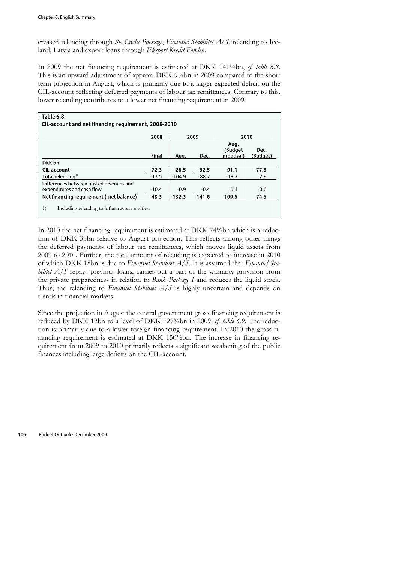creased relending through *the Credit Package*, *Finansiel Stabilitet A/S*, relending to Iceland, Latvia and export loans through *Eksport Kredit Fonden*.

In 2009 the net financing requirement is estimated at DKK 141½bn, *cf. table 6.8*. This is an upward adjustment of approx. DKK 9¼bn in 2009 compared to the short term projection in August, which is primarily due to a larger expected deficit on the CIL-account reflecting deferred payments of labour tax remittances. Contrary to this, lower relending contributes to a lower net financing requirement in 2009.

| Table 6.8                                                             |              |              |         |                              |                  |  |  |  |  |
|-----------------------------------------------------------------------|--------------|--------------|---------|------------------------------|------------------|--|--|--|--|
| CIL-account and net financing requirement, 2008-2010                  |              |              |         |                              |                  |  |  |  |  |
|                                                                       | 2008         | 2009<br>2010 |         |                              |                  |  |  |  |  |
|                                                                       | <b>Final</b> | Aug.         | Dec.    | Aug.<br>(Budget<br>proposal) | Dec.<br>(Budaet) |  |  |  |  |
| DKK bn                                                                |              |              |         |                              |                  |  |  |  |  |
| <b>CIL-account</b>                                                    | 72.3         | $-26.5$      | $-52.5$ | $-91.1$                      | $-77.3$          |  |  |  |  |
| Total relending <sup>1)</sup>                                         | $-13.5$      | $-104.9$     | $-88.7$ | $-18.2$                      | 2.9              |  |  |  |  |
| Differences between posted revenues and<br>expenditures and cash flow | $-10.4$      | $-0.9$       | $-0.4$  | $-0.1$                       | 0.0              |  |  |  |  |
| Net financing requirement (-net balance)                              | $-48.3$      | 132.3        | 141.6   | 109.5                        | 74.5             |  |  |  |  |
| 1)<br>Including relending to infrastructure entities.                 |              |              |         |                              |                  |  |  |  |  |

In 2010 the net financing requirement is estimated at DKK 74½bn which is a reduction of DKK 35bn relative to August projection. This reflects among other things the deferred payments of labour tax remittances, which moves liquid assets from 2009 to 2010. Further, the total amount of relending is expected to increase in 2010 of which DKK 18bn is due to *Finansiel Stabilitet A/S*. It is assumed that *Finansiel Stabilitet A/S* repays previous loans, carries out a part of the warranty provision from the private preparedness in relation to *Bank Package I* and reduces the liquid stock. Thus, the relending to *Finansiel Stabilitet A/S* is highly uncertain and depends on trends in financial markets.

Since the projection in August the central government gross financing requirement is reduced by DKK 12bn to a level of DKK 127<sup>3</sup>/abn in 2009, cf. table 6.9. The reduction is primarily due to a lower foreign financing requirement. In 2010 the gross financing requirement is estimated at DKK 150½bn. The increase in financing requirement from 2009 to 2010 primarily reflects a significant weakening of the public finances including large deficits on the CIL-account.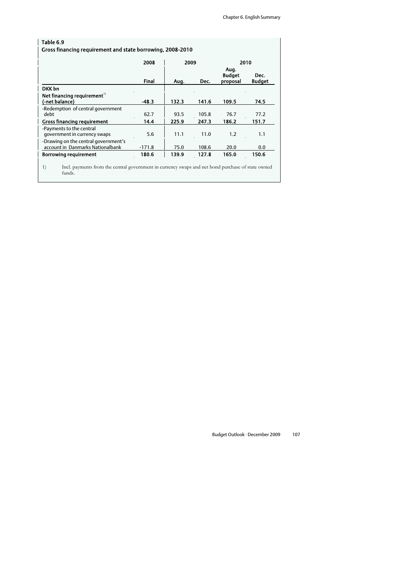| Table 6.9                                                                |              |       |       |                                   |                       |  |  |  |  |
|--------------------------------------------------------------------------|--------------|-------|-------|-----------------------------------|-----------------------|--|--|--|--|
| Gross financing requirement and state borrowing, 2008-2010               |              |       |       |                                   |                       |  |  |  |  |
|                                                                          | 2008         | 2009  |       | 2010                              |                       |  |  |  |  |
|                                                                          | <b>Final</b> | Aug.  | Dec.  | Aug.<br><b>Budget</b><br>proposal | Dec.<br><b>Budget</b> |  |  |  |  |
| DKK bn                                                                   |              |       |       |                                   |                       |  |  |  |  |
| Net financing requirement <sup>1)</sup><br>(-net balance)                | $-48.3$      | 132.3 | 141.6 | 109.5                             | 74.5                  |  |  |  |  |
| -Redemption of central government<br>debt                                | 62.7         | 93.5  | 105.8 | 76.7                              | 77.2                  |  |  |  |  |
| <b>Gross financing requirement</b>                                       | 14.4         | 225.9 | 247.3 | 186.2                             | 151.7                 |  |  |  |  |
| -Payments to the central<br>government in currency swaps                 | 5.6          | 11.1  | 11.0  | 1.2                               | 1.1                   |  |  |  |  |
| -Drawing on the central government's<br>account in Danmarks Nationalbank | $-171.8$     | 75.0  | 108.6 | 20.0                              | 0.0                   |  |  |  |  |
| <b>Borrowing requirement</b>                                             | 180.6        | 139.9 | 127.8 | 165.0                             | 150.6                 |  |  |  |  |
|                                                                          |              |       |       |                                   |                       |  |  |  |  |

1) Incl. payments from the central government in currency swaps and net bond purchase of state owned funds.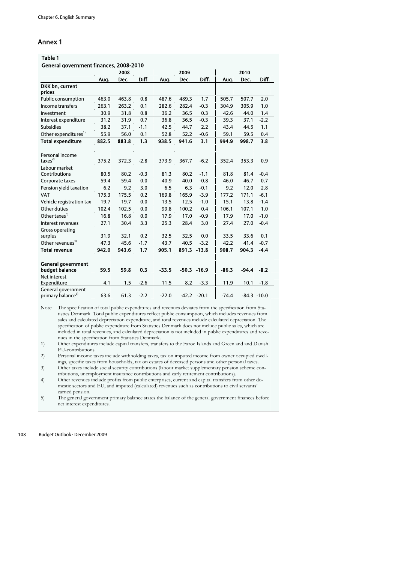## Annex 1

| Table 1                                             |       |       |        |         |                |        |         |                |        |
|-----------------------------------------------------|-------|-------|--------|---------|----------------|--------|---------|----------------|--------|
| General government finances, 2008-2010              |       |       |        |         |                |        |         |                |        |
|                                                     |       | 2008  |        |         | 2009           |        |         | 2010           |        |
|                                                     | Aug.  | Dec.  | Diff.  | Aug.    | Dec.           | Diff.  | Aug.    | Dec.           | Diff.  |
| DKK bn. current<br>prices                           |       |       |        |         |                |        |         |                |        |
| Public consumption                                  | 463.0 | 463.8 | 0.8    | 487.6   | 489.3          | 1.7    | 505.7   | 507.7          | 2.0    |
| Income transfers                                    | 263.1 | 263.2 | 0.1    | 282.6   | 282.4          | $-0.3$ | 304.9   | 305.9          | 1.0    |
| Investment                                          | 30.9  | 31.8  | 0.8    | 36.2    | 36.5           | 0.3    | 42.6    | 44.0           | 1.4    |
| Interest expenditure                                | 31.2  | 31.9  | 0.7    | 36.8    | 36.5           | $-0.3$ | 39.3    | 37.1           | $-2.2$ |
| <b>Subsidies</b>                                    | 38.2  | 37.1  | $-1.1$ | 42.5    | 44.7           | 2.2    | 43.4    | 44.5           | 1.1    |
| Other expenditures <sup>1)</sup>                    | 55.9  | 56.0  | 0.1    | 52.8    | 52.2           | $-0.6$ | 59.1    | 59.5           | 0.4    |
| <b>Total expenditure</b>                            | 882.5 | 883.8 | 1.3    | 938.5   | 941.6          | 3.1    | 994.9   | 998.7          | 3.8    |
| Personal income                                     |       |       |        |         |                |        |         |                |        |
| taxes <sup>2</sup>                                  | 375.2 | 372.3 | $-2.8$ | 373.9   | 367.7          | $-6.2$ | 352.4   | 353.3          | 0.9    |
| Labour market<br>Contributions                      | 80.5  | 80.2  | $-0.3$ | 81.3    | 80.2           | $-1.1$ | 81.8    | 81.4           | $-0.4$ |
| Corporate taxes                                     | 59.4  | 59.4  | 0.0    | 40.9    | 40.0           | $-0.8$ | 46.0    | 46.7           | 0.7    |
| Pension yield taxation                              | 6.2   | 9.2   | 3.0    | 6.5     | 6.3            | $-0.1$ | 9.2     | 12.0           | 2.8    |
| VAT                                                 | 175.3 | 175.5 | 0.2    | 169.8   | 165.9          | $-3.9$ | 177.2   | 171.1          | $-6.1$ |
| Vehicle registration tax                            | 19.7  | 19.7  | 0.0    | 13.5    | 12.5           | $-1.0$ | 15.1    | 13.8           | $-1.4$ |
| Other duties                                        | 102.4 | 102.5 | 0.0    | 99.8    | 100.2          | 0.4    | 106.1   | 107.1          | 1.0    |
| Other taxes <sup>3)</sup>                           | 16.8  | 16.8  | 0.0    | 17.9    | 17.0           | $-0.9$ | 17.9    | 17.0           | $-1.0$ |
| Interest revenues                                   | 27.1  | 30.4  | 3.3    | 25.3    | 28.4           | 3.0    | 27.4    | 27.0           | $-0.4$ |
| Gross operating<br>surplus                          | 31.9  | 32.1  | 0.2    | 32.5    | 32.5           | 0.0    | 33.5    | 33.6           | 0.1    |
| Other revenues <sup>4)</sup>                        | 47.3  | 45.6  | $-1.7$ | 43.7    | 40.5           | $-3.2$ | 42.2    | 41.4           | $-0.7$ |
| <b>Total revenue</b>                                | 942.0 | 943.6 | 1.7    | 905.1   | 891.3 -13.8    |        | 908.7   | 904.3          | $-4.4$ |
| <b>General government</b><br>budget balance         | 59.5  | 59.8  | 0.3    | $-33.5$ | $-50.3 - 16.9$ |        | $-86.3$ | $-94.4$        | $-8.2$ |
| Net interest<br>Expenditure                         | 4.1   | 1.5   | $-2.6$ | 11.5    | 8.2            | $-3.3$ | 11.9    | 10.1           | $-1.8$ |
| General government<br>primary balance <sup>5)</sup> | 63.6  | 61.3  | $-2.2$ | $-22.0$ | $-42.2 -20.1$  |        | $-74.4$ | $-84.3 - 10.0$ |        |

Note: The specification of total public expenditures and revenues deviates from the specification from Statistics Denmark. Total public expenditures reflect public consumption, which includes revenues from sales and calculated depreciation expenditure, and total revenues include calculated depreciation. The specification of public expenditure from Statistics Denmark does not include public sales, which are included in total revenues, and calculated depreciation is not included in public expenditures and revenues in the specification from Statistics Denmark.

1) Other expenditures include capital transfers, transfers to the Faroe Islands and Greenland and Danish EU-contributions.

2) Personal income taxes include withholding taxes, tax on imputed income from owner occupied dwellings, specific taxes from households, tax on estates of deceased persons and other personal taxes.

3) Other taxes include social security contributions (labour market supplementary pension scheme contributions, unemployment insurance contributions and early retirement contributions).

4) Other revenues include profits from public enterprises, current and capital transfers from other domestic sectors and EU, and imputed (calculated) revenues such as contributions to civil servants' earned pension.

5) The general government primary balance states the balance of the general government finances before net interest expenditures.